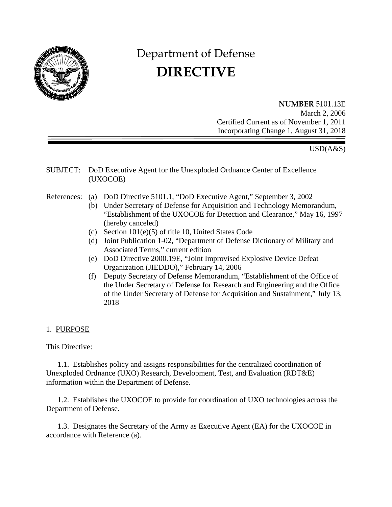

# Department of Defense **DIRECTIVE**

**NUMBER** 5101.13E March 2, 2006 Certified Current as of November 1, 2011 Incorporating Change 1, August 31, 2018

# USD(A&S)

SUBJECT: DoD Executive Agent for the Unexploded Ordnance Center of Excellence (UXOCOE)

- References: (a) DoD Directive 5101.1, "DoD Executive Agent," September 3, 2002
	- (b) Under Secretary of Defense for Acquisition and Technology Memorandum, "Establishment of the UXOCOE for Detection and Clearance," May 16, 1997 (hereby canceled)
	- (c) Section 101(e)(5) of title 10, United States Code
	- (d) Joint Publication 1-02, "Department of Defense Dictionary of Military and Associated Terms," current edition
	- (e) DoD Directive 2000.19E, "Joint Improvised Explosive Device Defeat Organization (JIEDDO)," February 14, 2006
	- (f) Deputy Secretary of Defense Memorandum, "Establishment of the Office of the Under Secretary of Defense for Research and Engineering and the Office of the Under Secretary of Defense for Acquisition and Sustainment," July 13, 2018

#### 1. PURPOSE

This Directive:

1.1. Establishes policy and assigns responsibilities for the centralized coordination of Unexploded Ordnance (UXO) Research, Development, Test, and Evaluation (RDT&E) information within the Department of Defense.

1.2. Establishes the UXOCOE to provide for coordination of UXO technologies across the Department of Defense.

1.3. Designates the Secretary of the Army as Executive Agent (EA) for the UXOCOE in accordance with Reference (a).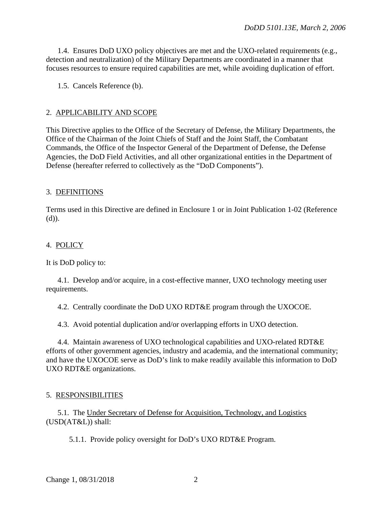1.4. Ensures DoD UXO policy objectives are met and the UXO-related requirements (e.g., detection and neutralization) of the Military Departments are coordinated in a manner that focuses resources to ensure required capabilities are met, while avoiding duplication of effort.

1.5. Cancels Reference (b).

#### 2. APPLICABILITY AND SCOPE

This Directive applies to the Office of the Secretary of Defense, the Military Departments, the Office of the Chairman of the Joint Chiefs of Staff and the Joint Staff, the Combatant Commands, the Office of the Inspector General of the Department of Defense, the Defense Agencies, the DoD Field Activities, and all other organizational entities in the Department of Defense (hereafter referred to collectively as the "DoD Components").

# 3. DEFINITIONS

Terms used in this Directive are defined in Enclosure 1 or in Joint Publication 1-02 (Reference (d)).

# 4. POLICY

It is DoD policy to:

4.1. Develop and/or acquire, in a cost-effective manner, UXO technology meeting user requirements.

4.2. Centrally coordinate the DoD UXO RDT&E program through the UXOCOE.

4.3. Avoid potential duplication and/or overlapping efforts in UXO detection.

4.4. Maintain awareness of UXO technological capabilities and UXO-related RDT&E efforts of other government agencies, industry and academia, and the international community; and have the UXOCOE serve as DoD's link to make readily available this information to DoD UXO RDT&E organizations.

# 5. RESPONSIBILITIES

5.1. The Under Secretary of Defense for Acquisition, Technology, and Logistics (USD(AT&L)) shall:

5.1.1. Provide policy oversight for DoD's UXO RDT&E Program.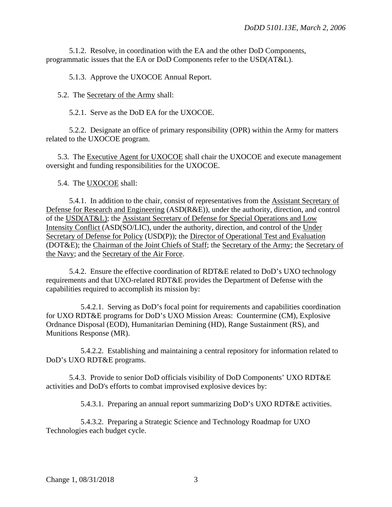5.1.2. Resolve, in coordination with the EA and the other DoD Components, programmatic issues that the EA or DoD Components refer to the USD(AT&L).

5.1.3. Approve the UXOCOE Annual Report.

5.2. The Secretary of the Army shall:

5.2.1. Serve as the DoD EA for the UXOCOE.

5.2.2. Designate an office of primary responsibility (OPR) within the Army for matters related to the UXOCOE program.

5.3. The Executive Agent for UXOCOE shall chair the UXOCOE and execute management oversight and funding responsibilities for the UXOCOE.

5.4. The UXOCOE shall:

5.4.1. In addition to the chair, consist of representatives from the Assistant Secretary of Defense for Research and Engineering (ASD(R&E)), under the authority, direction, and control of the USD(AT&L); the Assistant Secretary of Defense for Special Operations and Low Intensity Conflict (ASD(SO/LIC), under the authority, direction, and control of the Under Secretary of Defense for Policy (USD(P)); the Director of Operational Test and Evaluation (DOT&E); the Chairman of the Joint Chiefs of Staff; the Secretary of the Army; the Secretary of the Navy; and the Secretary of the Air Force.

5.4.2. Ensure the effective coordination of RDT&E related to DoD's UXO technology requirements and that UXO-related RDT&E provides the Department of Defense with the capabilities required to accomplish its mission by:

5.4.2.1. Serving as DoD's focal point for requirements and capabilities coordination for UXO RDT&E programs for DoD's UXO Mission Areas: Countermine (CM), Explosive Ordnance Disposal (EOD), Humanitarian Demining (HD), Range Sustainment (RS), and Munitions Response (MR).

5.4.2.2. Establishing and maintaining a central repository for information related to DoD's UXO RDT&E programs.

5.4.3. Provide to senior DoD officials visibility of DoD Components' UXO RDT&E activities and DoD's efforts to combat improvised explosive devices by:

5.4.3.1. Preparing an annual report summarizing DoD's UXO RDT&E activities.

5.4.3.2. Preparing a Strategic Science and Technology Roadmap for UXO Technologies each budget cycle.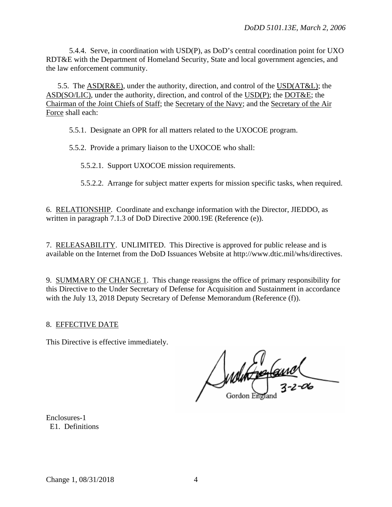5.4.4. Serve, in coordination with USD(P), as DoD's central coordination point for UXO RDT&E with the Department of Homeland Security, State and local government agencies, and the law enforcement community.

5.5. The ASD(R&E), under the authority, direction, and control of the USD(AT&L); the ASD(SO/LIC), under the authority, direction, and control of the USD(P); the DOT&E; the Chairman of the Joint Chiefs of Staff; the Secretary of the Navy; and the Secretary of the Air Force shall each:

5.5.1. Designate an OPR for all matters related to the UXOCOE program.

5.5.2. Provide a primary liaison to the UXOCOE who shall:

5.5.2.1. Support UXOCOE mission requirements.

5.5.2.2. Arrange for subject matter experts for mission specific tasks, when required.

6. RELATIONSHIP. Coordinate and exchange information with the Director, JIEDDO, as written in paragraph 7.1.3 of DoD Directive 2000.19E (Reference (e)).

7. RELEASABILITY. UNLIMITED. This Directive is approved for public release and is available on the Internet from the DoD Issuances Website at http://www.dtic.mil/whs/directives.

9. SUMMARY OF CHANGE 1. This change reassigns the office of primary responsibility for this Directive to the Under Secretary of Defense for Acquisition and Sustainment in accordance with the July 13, 2018 Deputy Secretary of Defense Memorandum (Reference (f)).

# 8. EFFECTIVE DATE

This Directive is effective immediately.

Molton England

Enclosures-1 E1. Definitions